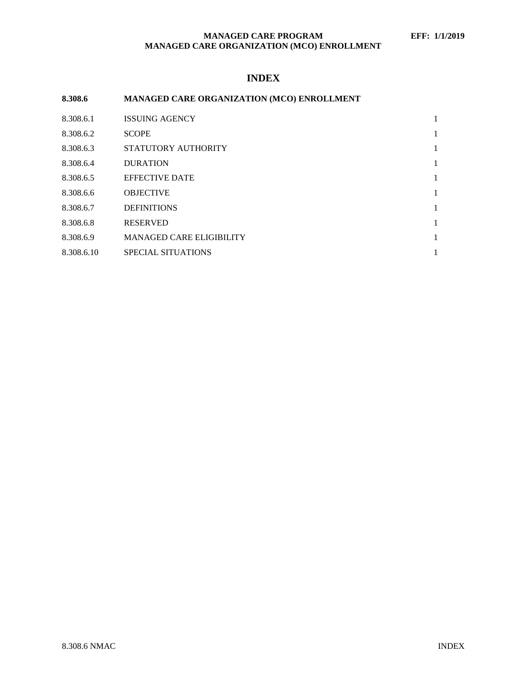## **MANAGED CARE PROGRAM EFF: 1/1/2019 MANAGED CARE ORGANIZATION (MCO) ENROLLMENT**

# **INDEX**

| 8.308.6    | MANAGED CARE ORGANIZATION (MCO) ENROLLMENT |   |
|------------|--------------------------------------------|---|
| 8.308.6.1  | <b>ISSUING AGENCY</b>                      | 1 |
| 8.308.6.2  | <b>SCOPE</b>                               | 1 |
| 8.308.6.3  | STATUTORY AUTHORITY                        | 1 |
| 8.308.6.4  | <b>DURATION</b>                            | 1 |
| 8.308.6.5  | <b>EFFECTIVE DATE</b>                      | 1 |
| 8.308.6.6  | <b>OBJECTIVE</b>                           | 1 |
| 8.308.6.7  | <b>DEFINITIONS</b>                         | 1 |
| 8.308.6.8  | <b>RESERVED</b>                            | 1 |
| 8.308.6.9  | <b>MANAGED CARE ELIGIBILITY</b>            | 1 |
| 8.308.6.10 | <b>SPECIAL SITUATIONS</b>                  | 1 |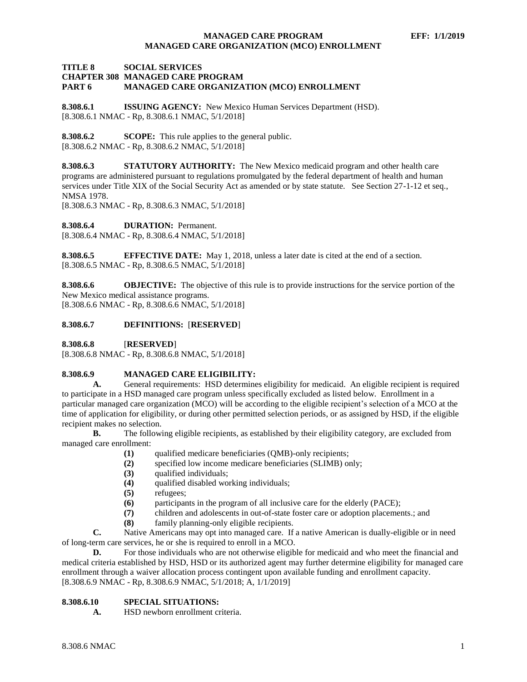### **MANAGED CARE PROGRAM EFF: 1/1/2019 MANAGED CARE ORGANIZATION (MCO) ENROLLMENT**

#### **TITLE 8 SOCIAL SERVICES CHAPTER 308 MANAGED CARE PROGRAM PART 6 MANAGED CARE ORGANIZATION (MCO) ENROLLMENT**

<span id="page-1-0"></span>**8.308.6.1 ISSUING AGENCY:** New Mexico Human Services Department (HSD). [8.308.6.1 NMAC - Rp, 8.308.6.1 NMAC, 5/1/2018]

<span id="page-1-1"></span>**8.308.6.2 SCOPE:** This rule applies to the general public. [8.308.6.2 NMAC - Rp, 8.308.6.2 NMAC, 5/1/2018]

<span id="page-1-2"></span>**8.308.6.3 STATUTORY AUTHORITY:** The New Mexico medicaid program and other health care programs are administered pursuant to regulations promulgated by the federal department of health and human services under Title XIX of the Social Security Act as amended or by state statute. See Section 27-1-12 et seq., NMSA 1978.

[8.308.6.3 NMAC - Rp, 8.308.6.3 NMAC, 5/1/2018]

<span id="page-1-3"></span>**8.308.6.4 DURATION:** Permanent.

[8.308.6.4 NMAC - Rp, 8.308.6.4 NMAC, 5/1/2018]

<span id="page-1-4"></span>**8.308.6.5 EFFECTIVE DATE:** May 1, 2018, unless a later date is cited at the end of a section. [8.308.6.5 NMAC - Rp, 8.308.6.5 NMAC, 5/1/2018]

<span id="page-1-5"></span>**8.308.6.6 OBJECTIVE:** The objective of this rule is to provide instructions for the service portion of the New Mexico medical assistance programs.

[8.308.6.6 NMAC - Rp, 8.308.6.6 NMAC, 5/1/2018]

#### <span id="page-1-6"></span>**8.308.6.7 DEFINITIONS:** [**RESERVED**]

<span id="page-1-7"></span>**8.308.6.8** [**RESERVED**]

[8.308.6.8 NMAC - Rp, 8.308.6.8 NMAC, 5/1/2018]

#### <span id="page-1-8"></span>**8.308.6.9 MANAGED CARE ELIGIBILITY:**

**A.** General requirements: HSD determines eligibility for medicaid. An eligible recipient is required to participate in a HSD managed care program unless specifically excluded as listed below. Enrollment in a particular managed care organization (MCO) will be according to the eligible recipient's selection of a MCO at the time of application for eligibility, or during other permitted selection periods, or as assigned by HSD, if the eligible recipient makes no selection.

**B.** The following eligible recipients, as established by their eligibility category, are excluded from managed care enrollment:

- **(1)** qualified medicare beneficiaries (QMB)-only recipients;
- **(2)** specified low income medicare beneficiaries (SLIMB) only;
- **(3)** qualified individuals;
- **(4)** qualified disabled working individuals;
- **(5)** refugees;
- **(6)** participants in the program of all inclusive care for the elderly (PACE);
- **(7)** children and adolescents in out-of-state foster care or adoption placements.; and
- **(8)** family planning-only eligible recipients.

**C.** Native Americans may opt into managed care. If a native American is dually-eligible or in need of long-term care services, he or she is required to enroll in a MCO.

**D.** For those individuals who are not otherwise eligible for medicaid and who meet the financial and medical criteria established by HSD, HSD or its authorized agent may further determine eligibility for managed care enrollment through a waiver allocation process contingent upon available funding and enrollment capacity. [8.308.6.9 NMAC - Rp, 8.308.6.9 NMAC, 5/1/2018; A, 1/1/2019]

## <span id="page-1-9"></span>**8.308.6.10 SPECIAL SITUATIONS:**

**A.** HSD newborn enrollment criteria.